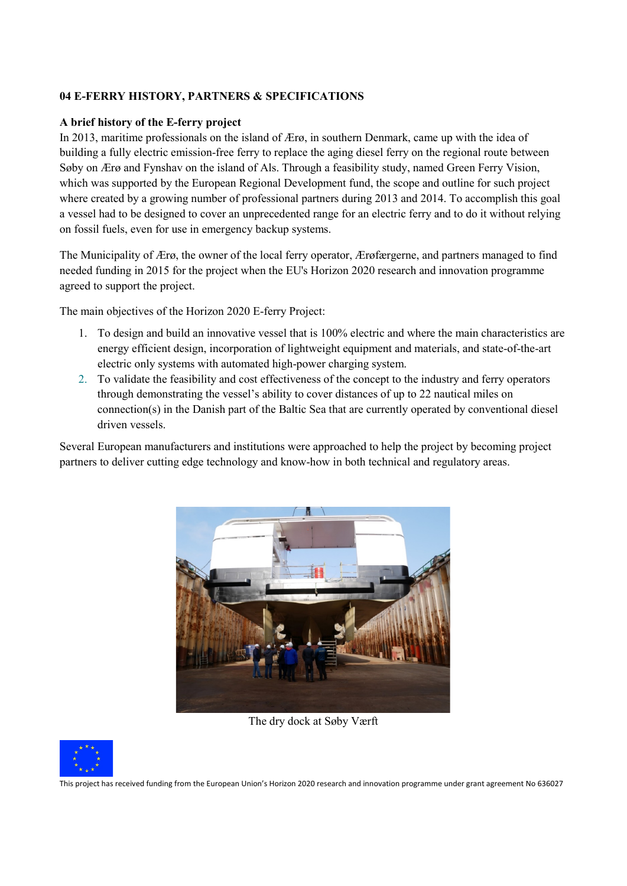### **04 E-FERRY HISTORY, PARTNERS & SPECIFICATIONS**

#### **A brief history of the E-ferry project**

In 2013, maritime professionals on the island of Ærø, in southern Denmark, came up with the idea of building a fully electric emission-free ferry to replace the aging diesel ferry on the regional route between Søby on Ærø and Fynshav on the island of Als. Through a feasibility study, named Green Ferry Vision, which was supported by the European Regional Development fund, the scope and outline for such project where created by a growing number of professional partners during 2013 and 2014. To accomplish this goal a vessel had to be designed to cover an unprecedented range for an electric ferry and to do it without relying on fossil fuels, even for use in emergency backup systems.

The Municipality of Ærø, the owner of the local ferry operator, Ærøfærgerne, and partners managed to find needed funding in 2015 for the project when the EU's Horizon 2020 research and innovation programme agreed to support the project.

The main objectives of the Horizon 2020 E-ferry Project:

- 1. To design and build an innovative vessel that is 100% electric and where the main characteristics are energy efficient design, incorporation of lightweight equipment and materials, and state-of-the-art electric only systems with automated high-power charging system.
- 2. To validate the feasibility and cost effectiveness of the concept to the industry and ferry operators through demonstrating the vessel's ability to cover distances of up to 22 nautical miles on connection(s) in the Danish part of the Baltic Sea that are currently operated by conventional diesel driven vessels.

Several European manufacturers and institutions were approached to help the project by becoming project partners to deliver cutting edge technology and know-how in both technical and regulatory areas.



The dry dock at Søby Værft



This project has received funding from the European Union's Horizon 2020 research and innovation programme under grant agreement No 636027